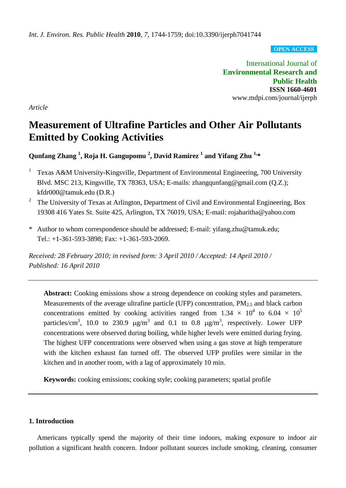**OPEN ACCESS**

International Journal of **Environmental Research and Public Health ISSN 1660-4601** www.mdpi.com/journal/ijerph

*Article*

# **Measurement of Ultrafine Particles and Other Air Pollutants Emitted by Cooking Activities**

**Qunfang Zhang <sup>1</sup> , Roja H. Gangupomu <sup>2</sup> , David Ramirez <sup>1</sup> and Yifang Zhu 1,\***

- 1 Texas A&M University-Kingsville, Department of Environmental Engineering, 700 University Blvd. MSC 213, Kingsville, TX 78363, USA; E-mails: zhangqunfang@gmail.com (Q.Z.); kfdr000@tamuk.edu (D.R.)
- 2 The University of Texas at Arlington, Department of Civil and Environmental Engineering, Box 19308 416 Yates St. Suite 425, Arlington, TX 76019, USA; E-mail: rojaharitha@yahoo.com
- \* Author to whom correspondence should be addressed; E-mail: yifang.zhu@tamuk.edu; Tel.: +1-361-593-3898; Fax: +1-361-593-2069.

*Received: 28 February 2010; in revised form: 3 April 2010 / Accepted: 14 April 2010 / Published: 16 April 2010*

Abstract: Cooking emissions show a strong dependence on cooking styles and parameters. Measurements of the average ultrafine particle (UFP) concentration,  $PM_{2.5}$  and black carbon concentrations emitted by cooking activities ranged from 1.34  $\times$  10<sup>4</sup> to 6.04  $\times$  10<sup>5</sup> particles/cm<sup>3</sup>, 10.0 to 230.9  $\mu$ g/m<sup>3</sup> and 0.1 to 0.8  $\mu$ g/m<sup>3</sup>, respectively. Lower UFP concentrations were observed during boiling, while higher levels were emitted during frying. The highest UFP concentrations were observed when using a gas stove at high temperature with the kitchen exhaust fan turned off. The observed UFP profiles were similar in the kitchen and in another room, with a lag of approximately 10 min.

**Keywords:** cooking emissions; cooking style; cooking parameters; spatial profile

#### **1. Introduction**

Americans typically spend the majority of their time indoors, making exposure to indoor air pollution a significant health concern. Indoor pollutant sources include smoking, cleaning, consumer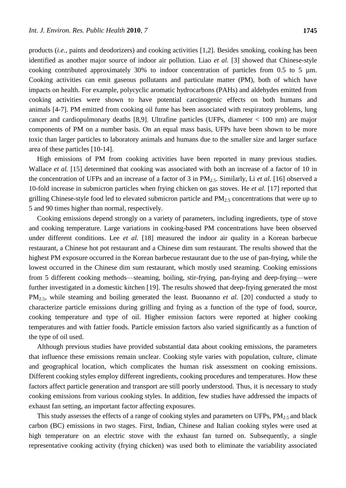products (*i.e.*, paints and deodorizers) and cooking activities [1,2]. Besides smoking, cooking has been identified as another major source of indoor air pollution. Liao *et al.* [3] showed that Chinese-style cooking contributed approximately 30% to indoor concentration of particles from 0.5 to 5  $\mu$ m. Cooking activities can emit gaseous pollutants and particulate matter (PM), both of which have impacts on health. For example, polycyclic aromatic hydrocarbons (PAHs) and aldehydes emitted from cooking activities were shown to have potential carcinogenic effects on both humans and animals [4-7]. PM emitted from cooking oil fume has been associated with respiratory problems, lung cancer and cardiopulmonary deaths [8,9]. Ultrafine particles (UFPs, diameter < 100 nm) are major components of PM on a number basis. On an equal mass basis, UFPs have been shown to be more toxic than larger particles to laboratory animals and humans due to the smaller size and larger surface area of these particles [10-14].

High emissions of PM from cooking activities have been reported in many previous studies. Wallace *et al.* [15] determined that cooking was associated with both an increase of a factor of 10 in the concentration of UFPs and an increase of a factor of 3 in PM2.5. Similarly, Li *et al.* [16] observed a 10-fold increase in submicron particles when frying chicken on gas stoves. He *et al.* [17] reported that grilling Chinese-style food led to elevated submicron particle and PM2.5 concentrations that were up to 5 and 90 times higher than normal, respectively.

Cooking emissions depend strongly on a variety of parameters, including ingredients, type of stove and cooking temperature. Large variations in cooking-based PM concentrations have been observed under different conditions. Lee *et al.* [18] measured the indoor air quality in a Korean barbecue restaurant, a Chinese hot pot restaurant and a Chinese dim sum restaurant. The results showed that the highest PM exposure occurred in the Korean barbecue restaurant due to the use of pan-frying, while the lowest occurred in the Chinese dim sum restaurant, which mostly used steaming. Cooking emissions from 5 different cooking methods—steaming, boiling, stir-frying, pan-frying and deep-frying—were further investigated in a domestic kitchen [19]. The results showed that deep-frying generated the most PM<sub>2.5</sub>, while steaming and boiling generated the least. Buonanno *et al.* [20] conducted a study to characterize particle emissions during grilling and frying as a function of the type of food, source, cooking temperature and type of oil. Higher emission factors were reported at higher cooking temperatures and with fattier foods. Particle emission factors also varied significantly as a function of the type of oil used.

Although previous studies have provided substantial data about cooking emissions, the parameters that influence these emissions remain unclear. Cooking style varies with population, culture, climate and geographical location, which complicates the human risk assessment on cooking emissions. Different cooking styles employ different ingredients, cooking procedures and temperatures. How these factors affect particle generation and transport are still poorly understood. Thus, it is necessary to study cooking emissions from various cooking styles. In addition, few studies have addressed the impacts of exhaust fan setting, an important factor affecting exposures.

This study assesses the effects of a range of cooking styles and parameters on UFPs,  $PM_{2.5}$  and black carbon (BC) emissions in two stages. First, Indian, Chinese and Italian cooking styles were used at high temperature on an electric stove with the exhaust fan turned on. Subsequently, a single representative cooking activity (frying chicken) was used both to eliminate the variability associated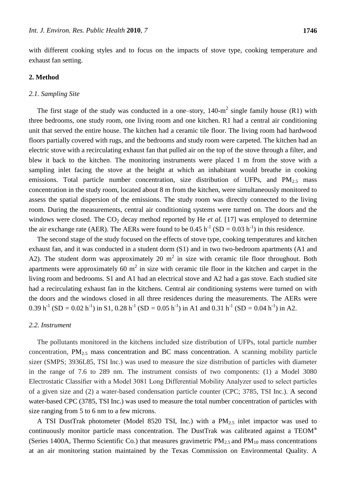with different cooking styles and to focus on the impacts of stove type, cooking temperature and exhaust fan setting.

## **2. Method**

#### *2.1. Sampling Site*

The first stage of the study was conducted in a one–story,  $140 \text{--} m^2$  single family house (R1) with three bedrooms, one study room, one living room and one kitchen. R1 had a central air conditioning unit that served the entire house. The kitchen had a ceramic tile floor. The living room had hardwood floors partially covered with rugs, and the bedrooms and study room were carpeted. The kitchen had an electric stove with a recirculating exhaust fan that pulled air on the top of the stove through a filter, and blew it back to the kitchen. The monitoring instruments were placed 1 m from the stove with a sampling inlet facing the stove at the height at which an inhabitant would breathe in cooking emissions. Total particle number concentration, size distribution of UFPs, and  $PM_{2.5}$  mass concentration in the study room, located about 8 m from the kitchen, were simultaneously monitored to assess the spatial dispersion of the emissions. The study room was directly connected to the living room. During the measurements, central air conditioning systems were turned on. The doors and the windows were closed. The CO<sub>2</sub> decay method reported by He *et al.* [17] was employed to determine the air exchange rate (AER). The AERs were found to be  $0.45$  h<sup>-1</sup> (SD =  $0.03$  h<sup>-1</sup>) in this residence.

The second stage of the study focused on the effects of stove type, cooking temperatures and kitchen exhaust fan, and it was conducted in a student dorm (S1) and in two two-bedroom apartments (A1 and A2). The student dorm was approximately 20  $m^2$  in size with ceramic tile floor throughout. Both apartments were approximately 60  $m^2$  in size with ceramic tile floor in the kitchen and carpet in the living room and bedrooms. S1 and A1 had an electrical stove and A2 had a gas stove. Each studied site had a recirculating exhaust fan in the kitchens. Central air conditioning systems were turned on with the doors and the windows closed in all three residences during the measurements. The AERs were 0.39 h<sup>-1</sup> (SD = 0.02 h<sup>-1</sup>) in S1, 0.28 h<sup>-1</sup> (SD = 0.05 h<sup>-1</sup>) in A1 and 0.31 h<sup>-1</sup> (SD = 0.04 h<sup>-1</sup>) in A2.

## *2.2. Instrument*

The pollutants monitored in the kitchens included size distribution of UFPs, total particle number concentration,  $PM_{2.5}$  mass concentration and BC mass concentration. A scanning mobility particle sizer (SMPS; 3936L85, TSI Inc.) was used to measure the size distribution of particles with diameter in the range of 7.6 to 289 nm. The instrument consists of two components: (1) a Model 3080 Electrostatic Classifier with a Model 3081 Long Differential Mobility Analyzer used to select particles of a given size and (2) a water-based condensation particle counter (CPC; 3785, TSI Inc.). A second water-based CPC (3785, TSI Inc.) was used to measure the total number concentration of particles with size ranging from 5 to 6 nm to a few microns.

A TSI DustTrak photometer (Model 8520 TSI, Inc.) with a  $PM_{2.5}$  inlet impactor was used to continuously monitor particle mass concentration. The DustTrak was calibrated against a  $TEOM^{\mathfrak{g}}$ (Series 1400A, Thermo Scientific Co.) that measures gravimetric  $PM_{2.5}$  and  $PM_{10}$  mass concentrations at an air monitoring station maintained by the Texas Commission on Environmental Quality. A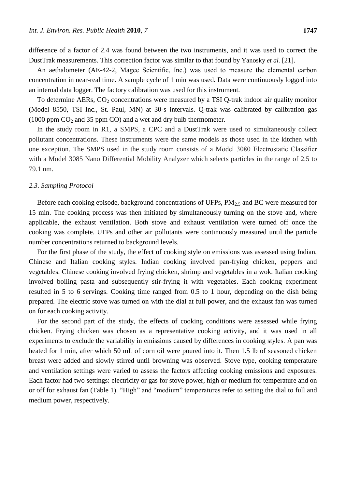difference of a factor of 2.4 was found between the two instruments, and it was used to correct the DustTrak measurements. This correction factor was similar to that found by Yanosky *et al.* [21].

An aethalometer (AE-42-2, Magee Scientific, Inc.) was used to measure the elemental carbon concentration in near-real time. A sample cycle of 1 min was used. Data were continuously logged into an internal data logger. The factory calibration was used for this instrument.

To determine AERs,  $CO<sub>2</sub>$  concentrations were measured by a TSI Q-trak indoor air quality monitor (Model 8550, TSI Inc., St. Paul, MN) at 30-s intervals. Q-trak was calibrated by calibration gas  $(1000$  ppm  $CO<sub>2</sub>$  and 35 ppm CO) and a wet and dry bulb thermometer.

In the study room in R1, a SMPS, a CPC and a DustTrak were used to simultaneously collect pollutant concentrations. These instruments were the same models as those used in the kitchen with one exception. The SMPS used in the study room consists of a Model 3080 Electrostatic Classifier with a Model 3085 Nano Differential Mobility Analyzer which selects particles in the range of 2.5 to 79.1 nm.

#### *2.3. Sampling Protocol*

Before each cooking episode, background concentrations of UFPs,  $PM_{2.5}$  and BC were measured for 15 min. The cooking process was then initiated by simultaneously turning on the stove and, where applicable, the exhaust ventilation. Both stove and exhaust ventilation were turned off once the cooking was complete. UFPs and other air pollutants were continuously measured until the particle number concentrations returned to background levels.

For the first phase of the study, the effect of cooking style on emissions was assessed using Indian, Chinese and Italian cooking styles. Indian cooking involved pan-frying chicken, peppers and vegetables. Chinese cooking involved frying chicken, shrimp and vegetables in a wok. Italian cooking involved boiling pasta and subsequently stir-frying it with vegetables. Each cooking experiment resulted in 5 to 6 servings. Cooking time ranged from 0.5 to 1 hour, depending on the dish being prepared. The electric stove was turned on with the dial at full power, and the exhaust fan was turned on for each cooking activity.

For the second part of the study, the effects of cooking conditions were assessed while frying chicken. Frying chicken was chosen as a representative cooking activity, and it was used in all experiments to exclude the variability in emissions caused by differences in cooking styles. A pan was heated for 1 min, after which 50 mL of corn oil were poured into it. Then 1.5 lb of seasoned chicken breast were added and slowly stirred until browning was observed. Stove type, cooking temperature and ventilation settings were varied to assess the factors affecting cooking emissions and exposures. Each factor had two settings: electricity or gas for stove power, high or medium for temperature and on or off for exhaust fan (Table 1). "High" and "medium" temperatures refer to setting the dial to full and medium power, respectively.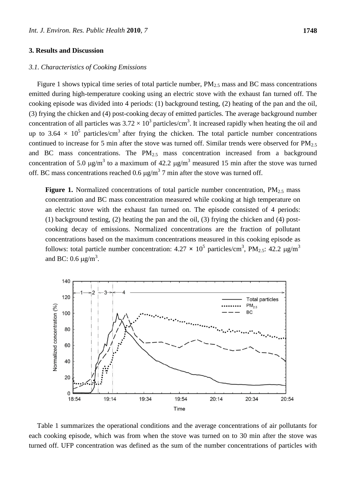### **3. Results and Discussion**

### *3.1. Characteristics of Cooking Emissions*

Figure 1 shows typical time series of total particle number,  $PM_{2.5}$  mass and BC mass concentrations emitted during high-temperature cooking using an electric stove with the exhaust fan turned off. The cooking episode was divided into 4 periods: (1) background testing, (2) heating of the pan and the oil, (3) frying the chicken and (4) post-cooking decay of emitted particles. The average background number concentration of all particles was  $3.72 \times 10^3$  particles/cm<sup>3</sup>. It increased rapidly when heating the oil and up to 3.64  $\times$  10<sup>5</sup> particles/cm<sup>3</sup> after frying the chicken. The total particle number concentrations continued to increase for 5 min after the stove was turned off. Similar trends were observed for  $PM<sub>2.5</sub>$ and BC mass concentrations. The  $PM<sub>2.5</sub>$  mass concentration increased from a background concentration of 5.0  $\mu$ g/m<sup>3</sup> to a maximum of 42.2  $\mu$ g/m<sup>3</sup> measured 15 min after the stove was turned off. BC mass concentrations reached 0.6  $\mu$ g/m<sup>3</sup> 7 min after the stove was turned off.

**Figure 1.** Normalized concentrations of total particle number concentration, PM<sub>2.5</sub> mass concentration and BC mass concentration measured while cooking at high temperature on an electric stove with the exhaust fan turned on. The episode consisted of 4 periods: (1) background testing, (2) heating the pan and the oil, (3) frying the chicken and (4) postcooking decay of emissions. Normalized concentrations are the fraction of pollutant concentrations based on the maximum concentrations measured in this cooking episode as follows: total particle number concentration:  $4.27 \times 10^5$  particles/cm<sup>3</sup>, PM<sub>2.5</sub>:  $42.2 \mu g/m^3$ and BC: 0.6  $\mu$ g/m<sup>3</sup>.



Table 1 summarizes the operational conditions and the average concentrations of air pollutants for each cooking episode, which was from when the stove was turned on to 30 min after the stove was turned off. UFP concentration was defined as the sum of the number concentrations of particles with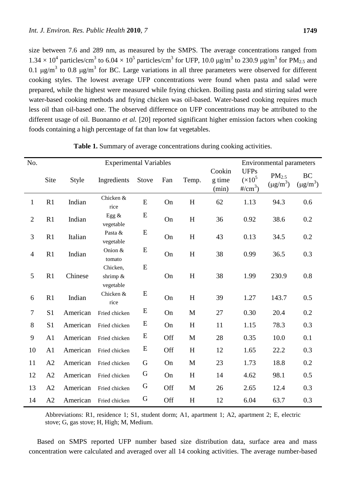size between 7.6 and 289 nm, as measured by the SMPS. The average concentrations ranged from  $1.34 \times 10^4$  particles/cm<sup>3</sup> to  $6.04 \times 10^5$  particles/cm<sup>3</sup> for UFP, 10.0  $\mu$ g/m<sup>3</sup> to 230.9  $\mu$ g/m<sup>3</sup> for PM<sub>2.5</sub> and 0.1  $\mu$ g/m<sup>3</sup> to 0.8  $\mu$ g/m<sup>3</sup> for BC. Large variations in all three parameters were observed for different cooking styles. The lowest average UFP concentrations were found when pasta and salad were prepared, while the highest were measured while frying chicken. Boiling pasta and stirring salad were water-based cooking methods and frying chicken was oil-based. Water-based cooking requires much less oil than oil-based one. The observed difference on UFP concentrations may be attributed to the different usage of oil. Buonanno *et al.* [20] reported significant higher emission factors when cooking foods containing a high percentage of fat than low fat vegetables.

| No.            | <b>Experimental Variables</b> |          |                                     |           |     |              | <b>Environmental parameters</b> |                                         |                                    |                            |
|----------------|-------------------------------|----------|-------------------------------------|-----------|-----|--------------|---------------------------------|-----------------------------------------|------------------------------------|----------------------------|
|                | Site                          | Style    | Ingredients                         | Stove     | Fan | Temp.        | Cookin<br>g time<br>(min)       | <b>UFPs</b><br>$(x10^5)$<br>#/ $cm^3$ ) | PM <sub>2.5</sub><br>$(\mu g/m^3)$ | <b>BC</b><br>$(\mu g/m^3)$ |
| $\mathbf{1}$   | R1                            | Indian   | Chicken &<br>rice                   | ${\bf E}$ | On  | $H_{\rm}$    | 62                              | 1.13                                    | 94.3                               | 0.6                        |
| $\overline{2}$ | R1                            | Indian   | Egg $\&$<br>vegetable               | E         | On  | H            | 36                              | 0.92                                    | 38.6                               | 0.2                        |
| 3              | R1                            | Italian  | Pasta &<br>vegetable                | ${\bf E}$ | On  | H            | 43                              | 0.13                                    | 34.5                               | 0.2                        |
| $\overline{4}$ | R1                            | Indian   | Onion &<br>tomato                   | ${\bf E}$ | On  | H            | 38                              | 0.99                                    | 36.5                               | 0.3                        |
| 5              | R1                            | Chinese  | Chicken,<br>shrimp $&$<br>vegetable | ${\bf E}$ | On  | H            | 38                              | 1.99                                    | 230.9                              | 0.8                        |
| 6              | R1                            | Indian   | Chicken &<br>rice                   | E         | On  | H            | 39                              | 1.27                                    | 143.7                              | 0.5                        |
| $\tau$         | S <sub>1</sub>                | American | Fried chicken                       | E         | On  | M            | 27                              | 0.30                                    | 20.4                               | 0.2                        |
| 8              | S1                            | American | Fried chicken                       | E         | On  | H            | 11                              | 1.15                                    | 78.3                               | 0.3                        |
| 9              | A <sub>1</sub>                | American | Fried chicken                       | E         | Off | M            | 28                              | 0.35                                    | 10.0                               | 0.1                        |
| 10             | A <sub>1</sub>                | American | Fried chicken                       | ${\bf E}$ | Off | H            | 12                              | 1.65                                    | 22.2                               | 0.3                        |
| 11             | A2                            | American | Fried chicken                       | G         | On  | $\mathbf{M}$ | 23                              | 1.73                                    | 18.8                               | 0.2                        |
| 12             | A2                            | American | Fried chicken                       | G         | On  | H            | 14                              | 4.62                                    | 98.1                               | 0.5                        |
| 13             | A2                            | American | Fried chicken                       | G         | Off | $\mathbf M$  | 26                              | 2.65                                    | 12.4                               | 0.3                        |
| 14             | A2                            | American | Fried chicken                       | G         | Off | H            | 12                              | 6.04                                    | 63.7                               | 0.3                        |

**Table 1.** Summary of average concentrations during cooking activities.

Abbreviations: R1, residence 1; S1, student dorm; A1, apartment 1; A2, apartment 2; E, electric stove; G, gas stove; H, High; M, Medium.

Based on SMPS reported UFP number based size distribution data, surface area and mass concentration were calculated and averaged over all 14 cooking activities. The average number-based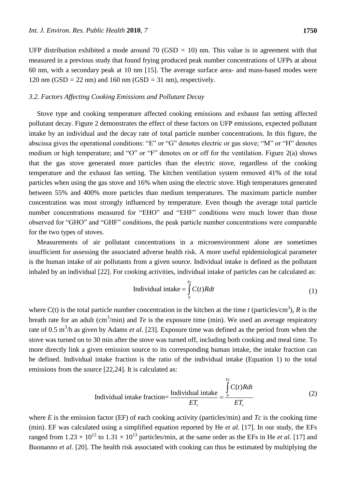UFP distribution exhibited a mode around 70 (GSD *=* 10) nm. This value is in agreement with that measured in a previous study that found frying produced peak number concentrations of UFPs at about 60 nm, with a secondary peak at 10 nm [15]. The average surface area- and mass-based modes were 120 nm (GSD *=* 22 nm) and 160 nm (GSD *=* 31 nm), respectively.

#### *3.2. Factors Affecting Cooking Emissions and Pollutant Decay*

Stove type and cooking temperature affected cooking emissions and exhaust fan setting affected pollutant decay. Figure 2 demonstrates the effect of these factors on UFP emissions, expected pollutant intake by an individual and the decay rate of total particle number concentrations. In this figure, the abscissa gives the operational conditions: "E" or "G" denotes electric or gas stove; "M" or "H" denotes medium or high temperature; and "O" or "F" denotes on or off for the ventilation. Figure  $2(a)$  shows that the gas stove generated more particles than the electric stove, regardless of the cooking temperature and the exhaust fan setting. The kitchen ventilation system removed 41% of the total particles when using the gas stove and 16% when using the electric stove. High temperatures generated between 55% and 400% more particles than medium temperatures. The maximum particle number concentration was most strongly influenced by temperature. Even though the average total particle number concentrations measured for "EHO" and "EHF" conditions were much lower than those observed for "GHO" and "GHF" conditions, the peak particle number concentrations were comparable for the two types of stoves.

Measurements of air pollutant concentrations in a microenvironment alone are sometimes insufficient for assessing the associated adverse health risk. A more useful epidemiological parameter is the human intake of air pollutants from a given source. Individual intake is defined as the pollutant inhaled by an individual [22]. For cooking activities, individual intake of particles can be calculated as:

$$
Individual\ intake = \int_{0}^{T_e} C(t)Rdt
$$
 (1)

where  $C(t)$  is the total particle number concentration in the kitchen at the time *t* (particles/cm<sup>3</sup>), *R* is the breath rate for an adult  $\text{cm}^3/\text{min}$ ) and *Te* is the exposure time (min). We used an average respiratory rate of 0.5 m<sup>3</sup>/h as given by Adams *et al.* [23]. Exposure time was defined as the period from when the stove was turned on to 30 min after the stove was turned off, including both cooking and meal time. To more directly link a given emission source to its corresponding human intake, the intake fraction can be defined. Individual intake fraction is the ratio of the individual intake (Equation 1) to the total emissions from the source [22,24]. It is calculated as:

tree [22,24]. It is calculated as:

\nIndividual intake fraction = 
$$
\frac{\text{Individual intake}}{ET_c} = \frac{\int_{0}^{T_e} C(t)Rdt}{ET_c}
$$

where *E* is the emission factor (EF) of each cooking activity (particles/min) and *Tc* is the cooking time (min). EF was calculated using a simplified equation reported by He *et al.* [17]. In our study, the EFs ranged from 1.23  $\times 10^{12}$  to 1.31  $\times 10^{13}$  particles/min, at the same order as the EFs in He *et al.* [17] and Buonanno *et al.* [20]. The health risk associated with cooking can thus be estimated by multiplying the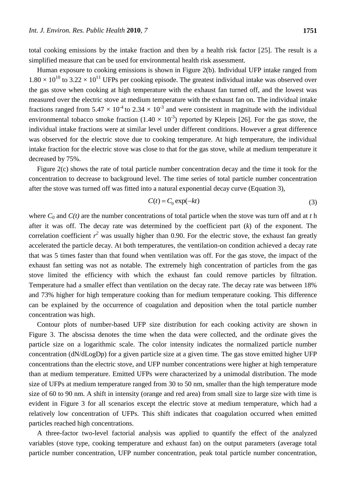total cooking emissions by the intake fraction and then by a health risk factor [25]. The result is a simplified measure that can be used for environmental health risk assessment.

Human exposure to cooking emissions is shown in Figure 2(b). Individual UFP intake ranged from  $1.80 \times 10^{10}$  to 3.22  $\times 10^{11}$  UFPs per cooking episode. The greatest individual intake was observed over the gas stove when cooking at high temperature with the exhaust fan turned off, and the lowest was measured over the electric stove at medium temperature with the exhaust fan on. The individual intake fractions ranged from 5.47  $\times$  10<sup>-4</sup> to 2.34  $\times$  10<sup>-3</sup> and were consistent in magnitude with the individual environmental tobacco smoke fraction  $(1.40 \times 10^{-3})$  reported by Klepeis [26]. For the gas stove, the individual intake fractions were at similar level under different conditions. However a great difference was observed for the electric stove due to cooking temperature. At high temperature, the individual intake fraction for the electric stove was close to that for the gas stove, while at medium temperature it decreased by 75%.

Figure 2(c) shows the rate of total particle number concentration decay and the time it took for the concentration to decrease to background level. The time series of total particle number concentration after the stove was turned off was fitted into a natural exponential decay curve (Equation 3),

$$
C(t) = C_0 \exp(-kt) \tag{3}
$$

where  $C_0$  and  $C(t)$  are the number concentrations of total particle when the stove was turn off and at *t* h after it was off. The decay rate was determined by the coefficient part (*k*) of the exponent. The correlation coefficient  $r^2$  was usually higher than 0.90. For the electric stove, the exhaust fan greatly accelerated the particle decay. At both temperatures, the ventilation-on condition achieved a decay rate that was 5 times faster than that found when ventilation was off. For the gas stove, the impact of the exhaust fan setting was not as notable. The extremely high concentration of particles from the gas stove limited the efficiency with which the exhaust fan could remove particles by filtration. Temperature had a smaller effect than ventilation on the decay rate. The decay rate was between 18% and 73% higher for high temperature cooking than for medium temperature cooking. This difference can be explained by the occurrence of coagulation and deposition when the total particle number concentration was high.

Contour plots of number-based UFP size distribution for each cooking activity are shown in Figure 3. The abscissa denotes the time when the data were collected, and the ordinate gives the particle size on a logarithmic scale. The color intensity indicates the normalized particle number concentration (dN/dLogDp) for a given particle size at a given time. The gas stove emitted higher UFP concentrations than the electric stove, and UFP number concentrations were higher at high temperature than at medium temperature. Emitted UFPs were characterized by a unimodal distribution. The mode size of UFPs at medium temperature ranged from 30 to 50 nm, smaller than the high temperature mode size of 60 to 90 nm. A shift in intensity (orange and red area) from small size to large size with time is evident in Figure 3 for all scenarios except the electric stove at medium temperature, which had a relatively low concentration of UFPs. This shift indicates that coagulation occurred when emitted particles reached high concentrations.

A three-factor two-level factorial analysis was applied to quantify the effect of the analyzed variables (stove type, cooking temperature and exhaust fan) on the output parameters (average total particle number concentration, UFP number concentration, peak total particle number concentration,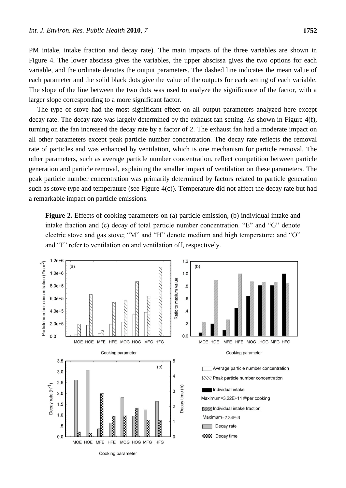PM intake, intake fraction and decay rate). The main impacts of the three variables are shown in Figure 4. The lower abscissa gives the variables, the upper abscissa gives the two options for each variable, and the ordinate denotes the output parameters. The dashed line indicates the mean value of each parameter and the solid black dots give the value of the outputs for each setting of each variable. The slope of the line between the two dots was used to analyze the significance of the factor, with a larger slope corresponding to a more significant factor.

The type of stove had the most significant effect on all output parameters analyzed here except decay rate. The decay rate was largely determined by the exhaust fan setting. As shown in Figure 4(f), turning on the fan increased the decay rate by a factor of 2. The exhaust fan had a moderate impact on all other parameters except peak particle number concentration. The decay rate reflects the removal rate of particles and was enhanced by ventilation, which is one mechanism for particle removal. The other parameters, such as average particle number concentration, reflect competition between particle generation and particle removal, explaining the smaller impact of ventilation on these parameters. The peak particle number concentration was primarily determined by factors related to particle generation such as stove type and temperature (see Figure 4(c)). Temperature did not affect the decay rate but had a remarkable impact on particle emissions.

**Figure 2.** Effects of cooking parameters on (a) particle emission, (b) individual intake and intake fraction and (c) decay of total particle number concentration. "E" and "G" denote electric stove and gas stove; "M" and "H" denote medium and high temperature; and "O" and "F" refer to ventilation on and ventilation off, respectively.

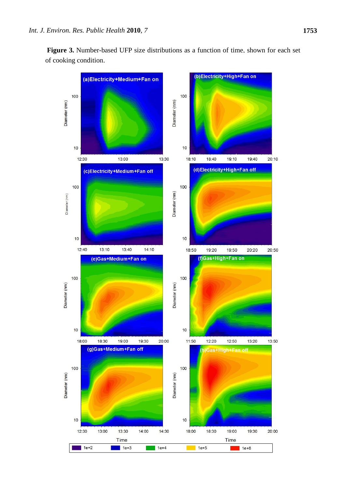**Figure 3.** Number-based UFP size distributions as a function of time, shown for each set of cooking condition.

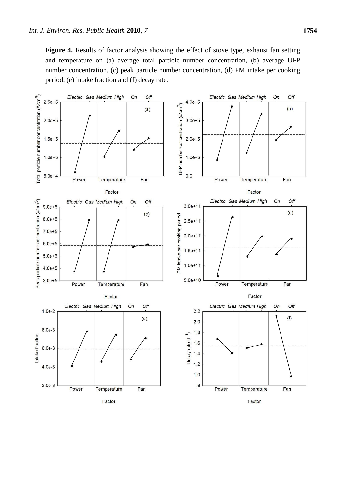Figure 4. Results of factor analysis showing the effect of stove type, exhaust fan setting and temperature on (a) average total particle number concentration, (b) average UFP number concentration, (c) peak particle number concentration, (d) PM intake per cooking period, (e) intake fraction and (f) decay rate.

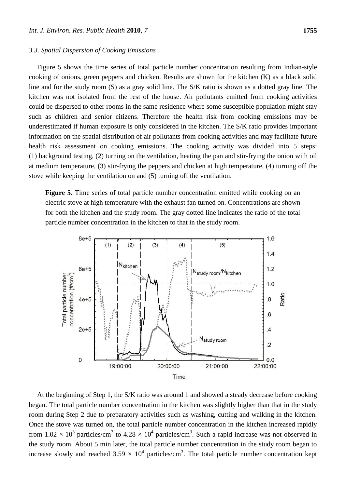#### *3.3. Spatial Dispersion of Cooking Emissions*

Figure 5 shows the time series of total particle number concentration resulting from Indian-style cooking of onions, green peppers and chicken. Results are shown for the kitchen (K) as a black solid line and for the study room (S) as a gray solid line. The S/K ratio is shown as a dotted gray line. The kitchen was not isolated from the rest of the house. Air pollutants emitted from cooking activities could be dispersed to other rooms in the same residence where some susceptible population might stay such as children and senior citizens. Therefore the health risk from cooking emissions may be underestimated if human exposure is only considered in the kitchen. The S/K ratio provides important information on the spatial distribution of air pollutants from cooking activities and may facilitate future health risk assessment on cooking emissions. The cooking activity was divided into 5 steps: (1) background testing, (2) turning on the ventilation, heating the pan and stir-frying the onion with oil at medium temperature, (3) stir-frying the peppers and chicken at high temperature, (4) turning off the stove while keeping the ventilation on and (5) turning off the ventilation.

Figure 5. Time series of total particle number concentration emitted while cooking on an electric stove at high temperature with the exhaust fan turned on. Concentrations are shown for both the kitchen and the study room. The gray dotted line indicates the ratio of the total particle number concentration in the kitchen to that in the study room.



At the beginning of Step 1, the S/K ratio was around 1 and showed a steady decrease before cooking began. The total particle number concentration in the kitchen was slightly higher than that in the study room during Step 2 due to preparatory activities such as washing, cutting and walking in the kitchen. Once the stove was turned on, the total particle number concentration in the kitchen increased rapidly from 1.02  $\times$  10<sup>3</sup> particles/cm<sup>3</sup> to 4.28  $\times$  10<sup>4</sup> particles/cm<sup>3</sup>. Such a rapid increase was not observed in the study room. About 5 min later, the total particle number concentration in the study room began to increase slowly and reached 3.59  $\times$  10<sup>4</sup> particles/cm<sup>3</sup>. The total particle number concentration kept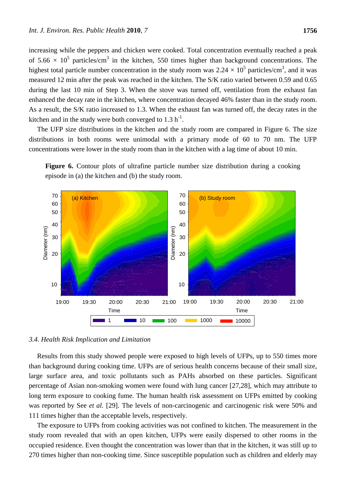increasing while the peppers and chicken were cooked. Total concentration eventually reached a peak of 5.66  $\times$  10<sup>5</sup> particles/cm<sup>3</sup> in the kitchen, 550 times higher than background concentrations. The highest total particle number concentration in the study room was  $2.24 \times 10^5$  particles/cm<sup>3</sup>, and it was measured 12 min after the peak was reached in the kitchen. The S/K ratio varied between 0.59 and 0.65 during the last 10 min of Step 3. When the stove was turned off, ventilation from the exhaust fan enhanced the decay rate in the kitchen, where concentration decayed 46% faster than in the study room. As a result, the S/K ratio increased to 1.3. When the exhaust fan was turned off, the decay rates in the kitchen and in the study were both converged to  $1.3 h^{-1}$ .

The UFP size distributions in the kitchen and the study room are compared in Figure 6. The size distributions in both rooms were unimodal with a primary mode of 60 to 70 nm. The UFP concentrations were lower in the study room than in the kitchen with a lag time of about 10 min.





#### *3.4. Health Risk Implication and Limitation*

Results from this study showed people were exposed to high levels of UFPs, up to 550 times more than background during cooking time. UFPs are of serious health concerns because of their small size, large surface area, and toxic pollutants such as PAHs absorbed on these particles. Significant percentage of Asian non-smoking women were found with lung cancer [27,28], which may attribute to long term exposure to cooking fume. The human health risk assessment on UFPs emitted by cooking was reported by See *et al.* [29]. The levels of non-carcinogenic and carcinogenic risk were 50% and 111 times higher than the acceptable levels, respectively.

The exposure to UFPs from cooking activities was not confined to kitchen. The measurement in the study room revealed that with an open kitchen, UFPs were easily dispersed to other rooms in the occupied residence. Even thought the concentration was lower than that in the kitchen, it was still up to 270 times higher than non-cooking time. Since susceptible population such as children and elderly may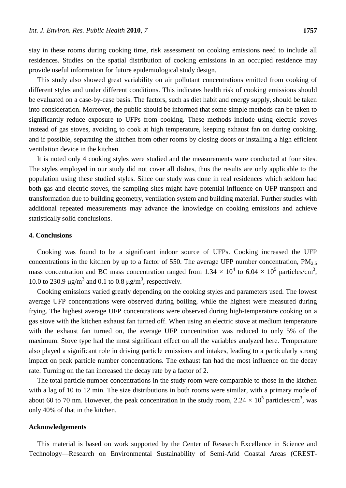stay in these rooms during cooking time, risk assessment on cooking emissions need to include all residences. Studies on the spatial distribution of cooking emissions in an occupied residence may provide useful information for future epidemiological study design.

This study also showed great variability on air pollutant concentrations emitted from cooking of different styles and under different conditions. This indicates health risk of cooking emissions should be evaluated on a case-by-case basis. The factors, such as diet habit and energy supply, should be taken into consideration. Moreover, the public should be informed that some simple methods can be taken to significantly reduce exposure to UFPs from cooking. These methods include using electric stoves instead of gas stoves, avoiding to cook at high temperature, keeping exhaust fan on during cooking, and if possible, separating the kitchen from other rooms by closing doors or installing a high efficient ventilation device in the kitchen.

It is noted only 4 cooking styles were studied and the measurements were conducted at four sites. The styles employed in our study did not cover all dishes, thus the results are only applicable to the population using these studied styles. Since our study was done in real residences which seldom had both gas and electric stoves, the sampling sites might have potential influence on UFP transport and transformation due to building geometry, ventilation system and building material. Further studies with additional repeated measurements may advance the knowledge on cooking emissions and achieve statistically solid conclusions.

### **4. Conclusions**

Cooking was found to be a significant indoor source of UFPs. Cooking increased the UFP concentrations in the kitchen by up to a factor of 550. The average UFP number concentration,  $PM_{2.5}$ mass concentration and BC mass concentration ranged from 1.34  $\times 10^4$  to 6.04  $\times 10^5$  particles/cm<sup>3</sup>, 10.0 to 230.9  $\mu$ g/m<sup>3</sup> and 0.1 to 0.8  $\mu$ g/m<sup>3</sup>, respectively.

Cooking emissions varied greatly depending on the cooking styles and parameters used. The lowest average UFP concentrations were observed during boiling, while the highest were measured during frying. The highest average UFP concentrations were observed during high-temperature cooking on a gas stove with the kitchen exhaust fan turned off. When using an electric stove at medium temperature with the exhaust fan turned on, the average UFP concentration was reduced to only 5% of the maximum. Stove type had the most significant effect on all the variables analyzed here. Temperature also played a significant role in driving particle emissions and intakes, leading to a particularly strong impact on peak particle number concentrations. The exhaust fan had the most influence on the decay rate. Turning on the fan increased the decay rate by a factor of 2.

The total particle number concentrations in the study room were comparable to those in the kitchen with a lag of 10 to 12 min. The size distributions in both rooms were similar, with a primary mode of about 60 to 70 nm. However, the peak concentration in the study room,  $2.24 \times 10^5$  particles/cm<sup>3</sup>, was only 40% of that in the kitchen.

### **Acknowledgements**

This material is based on work supported by the Center of Research Excellence in Science and Technology—Research on Environmental Sustainability of Semi-Arid Coastal Areas (CREST-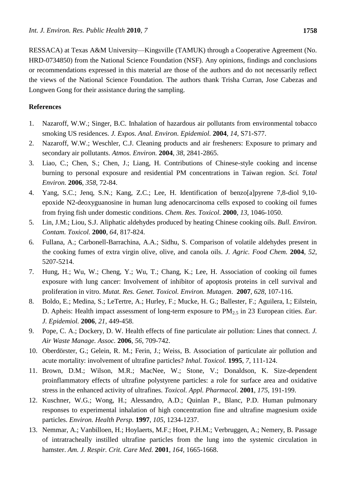RESSACA) at Texas A&M University—Kingsville (TAMUK) through a Cooperative Agreement (No. HRD-0734850) from the National Science Foundation (NSF). Any opinions, findings and conclusions or recommendations expressed in this material are those of the authors and do not necessarily reflect the views of the National Science Foundation. The authors thank Trisha Curran, Jose Cabezas and Longwen Gong for their assistance during the sampling.

## **References**

- 1. Nazaroff, W.W.; Singer, B.C. Inhalation of hazardous air pollutants from environmental tobacco smoking US residences. *J. Expos. Anal. Environ. Epidemiol.* **2004**, *14*, S71-S77.
- 2. Nazaroff, W.W.; Weschler, C.J. Cleaning products and air fresheners: Exposure to primary and secondary air pollutants. *Atmos. Environ.* **2004**, *38*, 2841-2865.
- 3. Liao, C.; Chen, S.; Chen, J.; Liang, H. Contributions of Chinese-style cooking and incense burning to personal exposure and residential PM concentrations in Taiwan region. *Sci. Total Environ.* **2006**, *358*, 72-84.
- 4. Yang, S.C.; Jenq, S.N.; Kang, Z.C.; Lee, H. Identification of benzo[a]pyrene 7,8-diol 9,10 epoxide N2-deoxyguanosine in human lung adenocarcinoma cells exposed to cooking oil fumes from frying fish under domestic conditions. *Chem. Res. Toxicol.* **2000**, *13*, 1046-1050.
- 5. Lin, J.M.; Liou, S.J. Aliphatic aldehydes produced by heating Chinese cooking oils. *Bull. Environ. Contam. Toxicol.* **2000**, *64*, 817-824.
- 6. Fullana, A.; Carbonell-Barrachina, A.A.; Sidhu, S. Comparison of volatile aldehydes present in the cooking fumes of extra virgin olive, olive, and canola oils. *J. Agric. Food Chem.* **2004**, *52*, 5207-5214.
- 7. Hung, H.; Wu, W.; Cheng, Y.; Wu, T.; Chang, K.; Lee, H. Association of cooking oil fumes exposure with lung cancer: Involvement of inhibitor of apoptosis proteins in cell survival and proliferation in vitro. *Mutat. Res. Genet. Toxicol. Environ. Mutagen*. **2007**, *628*, 107-116.
- 8. Boldo, E.; Medina, S.; LeTertre, A.; Hurley, F.; Mucke, H. G.; Ballester, F.; Aguilera, I.; Eilstein, D. Apheis: Health impact assessment of long-term exposure to PM<sub>2.5</sub> in 23 European cities. *Eur*. *J. Epidemiol.* **2006**, *21*, 449-458.
- 9. Pope, C. A.; Dockery, D. W. Health effects of fine particulate air pollution: Lines that connect. *J. Air Waste Manage. Assoc.* **2006**, *56*, 709-742.
- 10. Oberdörster, G.; Gelein, R. M.; Ferin, J.; Weiss, B. Association of particulate air pollution and acute mortality: involvement of ultrafine particles? *Inhal. Toxicol.* **1995**, *7*, 111-124.
- 11. Brown, D.M.; Wilson, M.R.; MacNee, W.; Stone, V.; Donaldson, K. Size-dependent proinflammatory effects of ultrafine polystyrene particles: a role for surface area and oxidative stress in the enhanced activity of ultrafines. *Toxicol. Appl. Pharmacol.* **2001**, *175*, 191-199.
- 12. Kuschner, W.G.; Wong, H.; Alessandro, A.D.; Quinlan P., Blanc, P.D. Human pulmonary responses to experimental inhalation of high concentration fine and ultrafine magnesium oxide particles. *Environ. Health Persp.* **1997**, *105*, 1234-1237.
- 13. Nemmar, A.; Vanbilloen, H.; Hoylaerts, M.F.; Hoet, P.H.M.; Verbruggen, A.; Nemery, B. Passage of intratracheally instilled ultrafine particles from the lung into the systemic circulation in hamster. *Am. J. Respir. Crit. Care Med.* **2001**, *164*, 1665-1668.